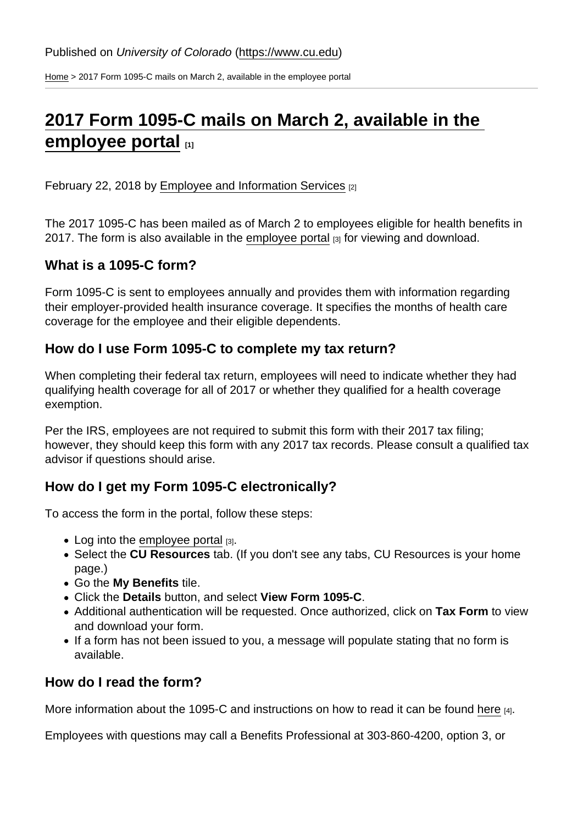[Home](https://www.cu.edu/) > 2017 Form 1095-C mails on March 2, available in the employee portal

## [2017 Form 1095-C mails on March 2, available in the](https://www.cu.edu/blog/hcm-community/2017-form-1095-c-mails-march-2-available-employee-portal)  [employee portal](https://www.cu.edu/blog/hcm-community/2017-form-1095-c-mails-march-2-available-employee-portal) [1]

February 22, 2018 by [Employee and Information Services](https://www.cu.edu/blog/hcm-community/author/23) [2]

The 2017 1095-C has been mailed as of March 2 to employees eligible for health benefits in 2017. The form is also available in the [employee portal](https://my.cu.edu)  $[3]$  for viewing and download.

What is a 1095-C form?

Form 1095-C is sent to employees annually and provides them with information regarding their employer-provided health insurance coverage. It specifies the months of health care coverage for the employee and their eligible dependents.

How do I use Form 1095-C to complete my tax return?

When completing their federal tax return, employees will need to indicate whether they had qualifying health coverage for all of 2017 or whether they qualified for a health coverage exemption.

Per the IRS, employees are not required to submit this form with their 2017 tax filing; however, they should keep this form with any 2017 tax records. Please consult a qualified tax advisor if questions should arise.

How do I get my Form 1095-C electronically?

To access the form in the portal, follow these steps:

- $\bullet$  Log into the [employee portal](https://my.cu.edu)  $[3]$ .
- Select the CU Resources tab. (If you don't see any tabs, CU Resources is your home page.)
- Go the My Benefits tile.
- Click the Details button, and select View Form 1095-C .
- Additional authentication will be requested. Once authorized, click on Tax Form to view and download your form.
- If a form has not been issued to you, a message will populate stating that no form is available.

How do I read the form?

More information about the 1095-C and instructions on how to read it can be found [here](https://www.cu.edu/employee-services/1095-c-aca-tax-document) [4].

Employees with questions may call a Benefits Professional at 303-860-4200, option 3, or